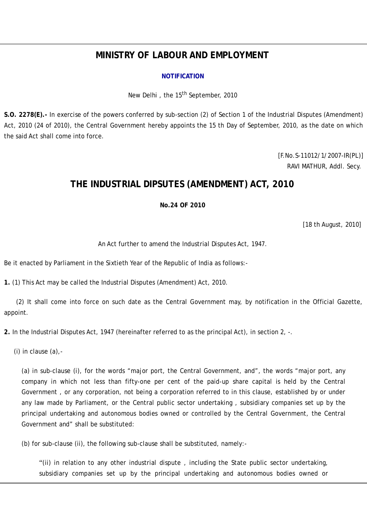# **MINISTRY OF LABOUR AND EMPLOYMENT**

#### **NOTIFICATION**

New Delhi, the 15<sup>th</sup> September, 2010

**S.O. 2278(E).-** In exercise of the powers conferred by sub-section (2) of Section 1 of the Industrial Disputes (Amendment) Act, 2010 (24 of 2010), the Central Government hereby appoints the 15 th Day of September, 2010, as the date on which the said Act shall come into force.

> [F.No.S-11012/1/2007-IR(PL)] RAVI MATHUR, Addl. Secy.

## **THE INDUSTRIAL DIPSUTES (AMENDMENT) ACT, 2010**

**No.24 OF 2010** 

[18 th August, 2010]

An Act further to amend the Industrial Disputes Act, 1947.

Be it enacted by Parliament in the Sixtieth Year of the Republic of India as follows:-

**1.** (1) This Act may be called the Industrial Disputes (Amendment) Act, 2010.

 (2) It shall come into force on such date as the Central Government may, by notification in the Official Gazette, appoint.

**2.** In the Industrial Disputes Act, 1947 (hereinafter referred to as the principal Act), in section 2, -.

(i) in clause (a),-

(a) in sub-clause (i), for the words "major port, the Central Government, and", the words "major port, any company in which not less than fifty-one per cent of the paid-up share capital is held by the Central Government , or any corporation, not being a corporation referred to in this clause, established by or under any law made by Parliament, or the Central public sector undertaking , subsidiary companies set up by the principal undertaking and autonomous bodies owned or controlled by the Central Government, the Central Government and" shall be substituted:

(b) for sub-clause (ii), the following sub-clause shall be substituted, namely:-

"(ii) in relation to any other industrial dispute , including the State public sector undertaking, subsidiary companies set up by the principal undertaking and autonomous bodies owned or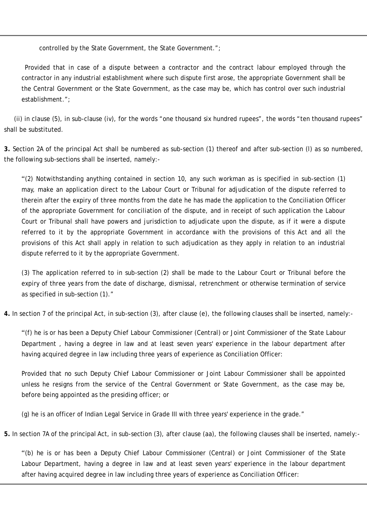controlled by the State Government, the State Government.";

 Provided that in case of a dispute between a contractor and the contract labour employed through the contractor in any industrial establishment where such dispute first arose, the appropriate Government shall be the Central Government or the State Government, as the case may be, which has control over such industrial establishment.";

 (ii) in clause (5), in sub-clause (iv), for the words "one thousand six hundred rupees", the words "ten thousand rupees" shall be substituted.

**3.** Section 2A of the principal Act shall be numbered as sub-section (1) thereof and after sub-section (l) as so numbered, the following sub-sections shall be inserted, namely:-

"(2) Notwithstanding anything contained in section 10, any such workman as is specified in sub-section (1) may, make an application direct to the Labour Court or Tribunal for adjudication of the dispute referred to therein after the expiry of three months from the date he has made the application to the Conciliation Officer of the appropriate Government for conciliation of the dispute, and in receipt of such application the Labour Court or Tribunal shall have powers and jurisdiction to adjudicate upon the dispute, as if it were a dispute referred to it by the appropriate Government in accordance with the provisions of this Act and all the provisions of this Act shall apply in relation to such adjudication as they apply in relation to an industrial dispute referred to it by the appropriate Government.

(3) The application referred to in sub-section (2) shall be made to the Labour Court or Tribunal before the expiry of three years from the date of discharge, dismissal, retrenchment or otherwise termination of service as specified in sub-section (1)."

**4.** In section 7 of the principal Act, in sub-section (3), after clause (e), the following clauses shall be inserted, namely:-

"(f) he is or has been a Deputy Chief Labour Commissioner (Central) or Joint Commissioner of the State Labour Department , having a degree in law and at least seven years' experience in the labour department after having acquired degree in law including three years of experience as Conciliation Officer:

Provided that no such Deputy Chief Labour Commissioner or Joint Labour Commissioner shall be appointed unless he resigns from the service of the Central Government or State Government, as the case may be, before being appointed as the presiding officer; or

(g) he is an officer of Indian Legal Service in Grade III with three years' experience in the grade."

**5.** In section 7A of the principal Act, in sub-section (3), after clause (aa), the following clauses shall be inserted, namely:-

"(b) he is or has been a Deputy Chief Labour Commissioner (Central) or Joint Commissioner of the State Labour Department, having a degree in law and at least seven years' experience in the labour department after having acquired degree in law including three years of experience as Conciliation Officer: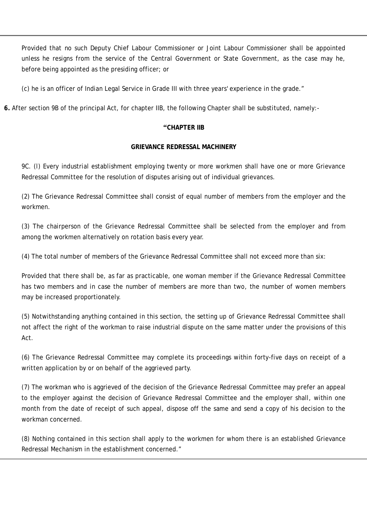Provided that no such Deputy Chief Labour Commissioner or Joint Labour Commissioner shall be appointed unless he resigns from the service of the Central Government or State Government, as the case may he, before being appointed as the presiding officer; or

(c) he is an officer of Indian Legal Service in Grade III with three years' experience in the grade."

**6.** After section 9B of the principal Act, for chapter IIB, the following Chapter shall be substituted, namely:-

### **"CHAPTER IIB**

### **GRIEVANCE REDRESSAL MACHINERY**

9C. (l) Every industrial establishment employing twenty or more workmen shall have one or more Grievance Redressal Committee for the resolution of disputes arising out of individual grievances.

(2) The Grievance Redressal Committee shall consist of equal number of members from the employer and the workmen.

(3) The chairperson of the Grievance Redressal Committee shall be selected from the employer and from among the workmen alternatively on rotation basis every year.

(4) The total number of members of the Grievance Redressal Committee shall not exceed more than six:

Provided that there shall be, as far as practicable, one woman member if the Grievance Redressal Committee has two members and in case the number of members are more than two, the number of women members may be increased proportionately.

(5) Notwithstanding anything contained in this section, the setting up of Grievance Redressal Committee shall not affect the right of the workman to raise industrial dispute on the same matter under the provisions of this Act.

(6) The Grievance Redressal Committee may complete its proceedings within forty-five days on receipt of a written application by or on behalf of the aggrieved party.

(7) The workman who is aggrieved of the decision of the Grievance Redressal Committee may prefer an appeal to the employer against the decision of Grievance Redressal Committee and the employer shall, within one month from the date of receipt of such appeal, dispose off the same and send a copy of his decision to the workman concerned.

(8) Nothing contained in this section shall apply to the workmen for whom there is an established Grievance Redressal Mechanism in the establishment concerned."